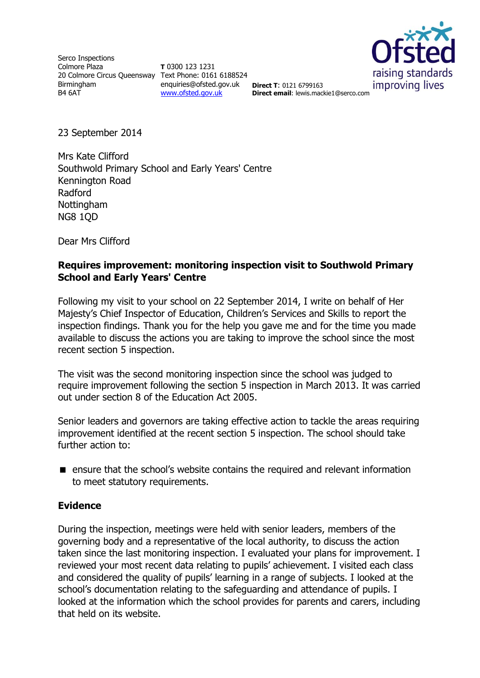Serco Inspections Colmore Plaza 20 Colmore Circus Queensway Text Phone: 0161 6188524 Birmingham B4 6AT

**T** 0300 123 1231 enquiries@ofsted.gov.uk **Direct T**: 0121 6799163 [www.ofsted.gov.uk](http://www.ofsted.gov.uk/)



**Direct email**: lewis.mackie1@serco.com

23 September 2014

Mrs Kate Clifford Southwold Primary School and Early Years' Centre Kennington Road Radford Nottingham NG8 1QD

Dear Mrs Clifford

### **Requires improvement: monitoring inspection visit to Southwold Primary School and Early Years' Centre**

Following my visit to your school on 22 September 2014, I write on behalf of Her Majesty's Chief Inspector of Education, Children's Services and Skills to report the inspection findings. Thank you for the help you gave me and for the time you made available to discuss the actions you are taking to improve the school since the most recent section 5 inspection.

The visit was the second monitoring inspection since the school was judged to require improvement following the section 5 inspection in March 2013. It was carried out under section 8 of the Education Act 2005.

Senior leaders and governors are taking effective action to tackle the areas requiring improvement identified at the recent section 5 inspection. The school should take further action to:

■ ensure that the school's website contains the required and relevant information to meet statutory requirements.

### **Evidence**

During the inspection, meetings were held with senior leaders, members of the governing body and a representative of the local authority, to discuss the action taken since the last monitoring inspection. I evaluated your plans for improvement. I reviewed your most recent data relating to pupils' achievement. I visited each class and considered the quality of pupils' learning in a range of subjects. I looked at the school's documentation relating to the safeguarding and attendance of pupils. I looked at the information which the school provides for parents and carers, including that held on its website.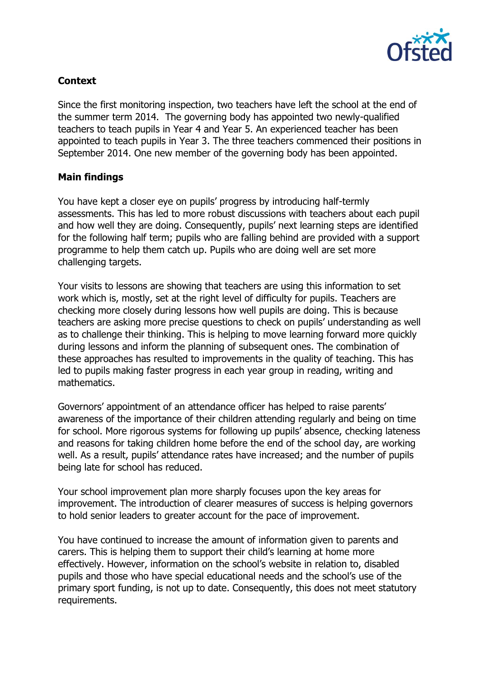

# **Context**

Since the first monitoring inspection, two teachers have left the school at the end of the summer term 2014. The governing body has appointed two newly-qualified teachers to teach pupils in Year 4 and Year 5. An experienced teacher has been appointed to teach pupils in Year 3. The three teachers commenced their positions in September 2014. One new member of the governing body has been appointed.

## **Main findings**

You have kept a closer eye on pupils' progress by introducing half-termly assessments. This has led to more robust discussions with teachers about each pupil and how well they are doing. Consequently, pupils' next learning steps are identified for the following half term; pupils who are falling behind are provided with a support programme to help them catch up. Pupils who are doing well are set more challenging targets.

Your visits to lessons are showing that teachers are using this information to set work which is, mostly, set at the right level of difficulty for pupils. Teachers are checking more closely during lessons how well pupils are doing. This is because teachers are asking more precise questions to check on pupils' understanding as well as to challenge their thinking. This is helping to move learning forward more quickly during lessons and inform the planning of subsequent ones. The combination of these approaches has resulted to improvements in the quality of teaching. This has led to pupils making faster progress in each year group in reading, writing and mathematics.

Governors' appointment of an attendance officer has helped to raise parents' awareness of the importance of their children attending regularly and being on time for school. More rigorous systems for following up pupils' absence, checking lateness and reasons for taking children home before the end of the school day, are working well. As a result, pupils' attendance rates have increased; and the number of pupils being late for school has reduced.

Your school improvement plan more sharply focuses upon the key areas for improvement. The introduction of clearer measures of success is helping governors to hold senior leaders to greater account for the pace of improvement.

You have continued to increase the amount of information given to parents and carers. This is helping them to support their child's learning at home more effectively. However, information on the school's website in relation to, disabled pupils and those who have special educational needs and the school's use of the primary sport funding, is not up to date. Consequently, this does not meet statutory requirements.